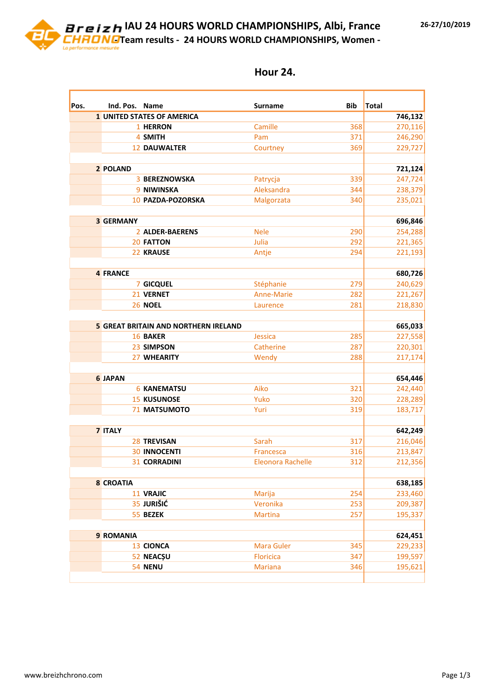**IAU 24 HOURS WORLD CHAMPIONSHIPS, Albi, France - Team results - 24 HOURS WORLD CHAMPIONSHIPS, Women -**

| Pos. | Ind. Pos. Name   |                                             | <b>Surname</b>    | Bib | Total              |
|------|------------------|---------------------------------------------|-------------------|-----|--------------------|
|      |                  | <b>1 UNITED STATES OF AMERICA</b>           |                   |     | 746,132            |
|      |                  | 1 HERRON                                    | Camille           | 368 | 270,116            |
|      |                  | 4 SMITH                                     | Pam               | 371 | 246,290            |
|      |                  | <b>12 DAUWALTER</b>                         | Courtney          | 369 | 229,727            |
|      |                  |                                             |                   |     |                    |
|      | 2 POLAND         |                                             |                   |     | 721,124            |
|      |                  | <b>3 BEREZNOWSKA</b>                        | Patrycja          | 339 | 247,724            |
|      |                  | 9 NIWINSKA                                  | Aleksandra        | 344 | 238,379            |
|      |                  | 10 PAZDA-POZORSKA                           | Malgorzata        | 340 | 235,021            |
|      |                  |                                             |                   |     |                    |
|      | <b>3 GERMANY</b> |                                             |                   |     | 696,846            |
|      |                  | 2 ALDER-BAERENS                             | <b>Nele</b>       | 290 | 254,288            |
|      |                  | <b>20 FATTON</b>                            | Julia             | 292 | 221,365            |
|      |                  | 22 KRAUSE                                   | Antje             | 294 | 221,193            |
|      |                  |                                             |                   |     |                    |
|      | <b>4 FRANCE</b>  |                                             |                   |     | 680,726            |
|      |                  | 7 GICQUEL                                   | Stéphanie         | 279 | 240,629            |
|      |                  | 21 VERNET                                   | <b>Anne-Marie</b> | 282 | 221,267            |
|      |                  | <b>26 NOEL</b>                              | Laurence          | 281 | 218,830            |
|      |                  | <b>5 GREAT BRITAIN AND NORTHERN IRELAND</b> |                   |     | 665,033            |
|      |                  | <b>16 BAKER</b>                             | Jessica           | 285 | 227,558            |
|      |                  | 23 SIMPSON                                  | Catherine         | 287 | 220,301            |
|      |                  | 27 WHEARITY                                 | Wendy             | 288 | 217,174            |
|      |                  |                                             |                   |     |                    |
|      | <b>6 JAPAN</b>   |                                             |                   |     | 654,446            |
|      |                  | <b>6 KANEMATSU</b>                          | Aiko              | 321 | 242,440            |
|      |                  | <b>15 KUSUNOSE</b>                          | Yuko              | 320 | 228,289            |
|      |                  | <b>71 MATSUMOTO</b>                         | Yuri              | 319 | 183,717            |
|      | 7 ITALY          |                                             |                   |     | 642,249            |
|      |                  | <b>28 TREVISAN</b>                          | Sarah             | 317 | 216,046            |
|      |                  | <b>30 INNOCENTI</b>                         | Francesca         | 316 | 213,847            |
|      |                  | <b>31 CORRADINI</b>                         | Eleonora Rachelle | 312 | 212,356            |
|      |                  |                                             |                   |     |                    |
|      | <b>8 CROATIA</b> | 11 VRAJIC                                   | Marija            | 254 | 638,185            |
|      |                  | 35 JURIŠIĆ                                  | Veronika          | 253 | 233,460<br>209,387 |
|      |                  | 55 BEZEK                                    | <b>Martina</b>    | 257 | 195,337            |
|      |                  |                                             |                   |     |                    |
|      | 9 ROMANIA        |                                             |                   |     | 624,451            |
|      |                  | 13 CIONCA                                   | <b>Mara Guler</b> | 345 | 229,233            |
|      |                  | 52 NEACȘU                                   | <b>Floricica</b>  | 347 | 199,597            |
|      |                  | 54 NENU                                     | <b>Mariana</b>    | 346 | 195,621            |
|      |                  |                                             |                   |     |                    |

## **Hour 24.**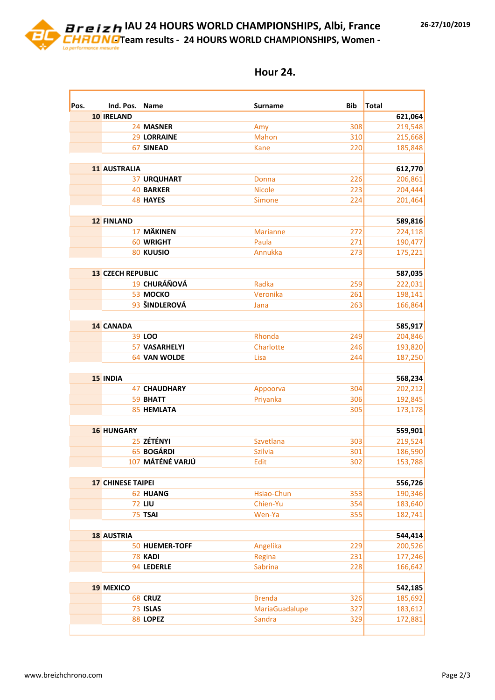**IAU 24 HOURS WORLD CHAMPIONSHIPS, Albi, France - Team results - 24 HOURS WORLD CHAMPIONSHIPS, Women -**

| Pos. | Ind. Pos. Name           |                      |                 | <b>Bib</b> | Total              |
|------|--------------------------|----------------------|-----------------|------------|--------------------|
|      | <b>10 IRELAND</b>        |                      | Surname         |            | 621,064            |
|      |                          | 24 MASNER            | Amy             | 308        | 219,548            |
|      |                          | <b>29 LORRAINE</b>   | <b>Mahon</b>    | 310        | 215,668            |
|      |                          | <b>67 SINEAD</b>     | <b>Kane</b>     | 220        | 185,848            |
|      |                          |                      |                 |            |                    |
|      | <b>11 AUSTRALIA</b>      |                      |                 |            | 612,770            |
|      |                          | <b>37 URQUHART</b>   | Donna           | 226        | 206,861            |
|      |                          | <b>40 BARKER</b>     | <b>Nicole</b>   | 223        | 204,444            |
|      |                          | <b>48 HAYES</b>      | Simone          | 224        | 201,464            |
|      |                          |                      |                 |            |                    |
|      | <b>12 FINLAND</b>        |                      |                 |            | 589,816            |
|      |                          | 17 MÄKINEN           | <b>Marianne</b> | 272        | 224,118            |
|      |                          | 60 WRIGHT            | Paula           | 271        | 190,477            |
|      |                          | <b>80 KUUSIO</b>     | Annukka         | 273        | 175,221            |
|      | <b>13 CZECH REPUBLIC</b> |                      |                 |            | 587,035            |
|      |                          | 19 CHURÁŇOVÁ         | Radka           | 259        | 222,031            |
|      |                          | 53 MOCKO             | Veronika        | 261        | 198,141            |
|      |                          | 93 ŠINDLEROVÁ        | Jana            | 263        | 166,864            |
|      |                          |                      |                 |            |                    |
|      | <b>14 CANADA</b>         |                      |                 |            | 585,917            |
|      |                          | 39 LOO               | Rhonda          | 249        | 204,846            |
|      |                          | <b>57 VASARHELYI</b> | Charlotte       | 246        | 193,820            |
|      |                          | 64 VAN WOLDE         | Lisa            | 244        | 187,250            |
|      | <b>15 INDIA</b>          |                      |                 |            |                    |
|      |                          | <b>47 CHAUDHARY</b>  | Appoorva        | 304        | 568,234<br>202,212 |
|      |                          | 59 BHATT             | Priyanka        | 306        | 192,845            |
|      |                          | <b>85 HEMLATA</b>    |                 | 305        | 173,178            |
|      |                          |                      |                 |            |                    |
|      | <b>16 HUNGARY</b>        |                      |                 |            | 559,901            |
|      |                          | 25 ZÉTÉNYI           | Szvetlana       | 303        | 219,524            |
|      |                          | 65 BOGÁRDI           | <b>Szilvia</b>  | 301        | 186,590            |
|      |                          | 107 MÁTÉNÉ VARJÚ     | Edit            | 302        | 153,788            |
|      |                          |                      |                 |            |                    |
|      | <b>17 CHINESE TAIPEI</b> |                      |                 |            | 556,726            |
|      |                          | 62 HUANG             | Hsiao-Chun      | 353        | 190,346            |
|      |                          | <b>72 LIU</b>        | Chien-Yu        | 354        | 183,640            |
|      |                          | 75 TSAI              | Wen-Ya          | 355        | 182,741            |
|      | <b>18 AUSTRIA</b>        |                      |                 |            | 544,414            |
|      |                          | 50 HUEMER-TOFF       | Angelika        | 229        | 200,526            |
|      |                          | 78 KADI              | Regina          | 231        | 177,246            |
|      |                          | 94 LEDERLE           | <b>Sabrina</b>  | 228        | 166,642            |
|      |                          |                      |                 |            |                    |
|      | <b>19 MEXICO</b>         |                      |                 |            | 542,185            |
|      |                          | 68 CRUZ              | <b>Brenda</b>   | 326        | 185,692            |
|      |                          | 73 ISLAS             | MariaGuadalupe  | 327        | 183,612            |
|      |                          | 88 LOPEZ             | Sandra          | 329        | 172,881            |
|      |                          |                      |                 |            |                    |

## **Hour 24.**